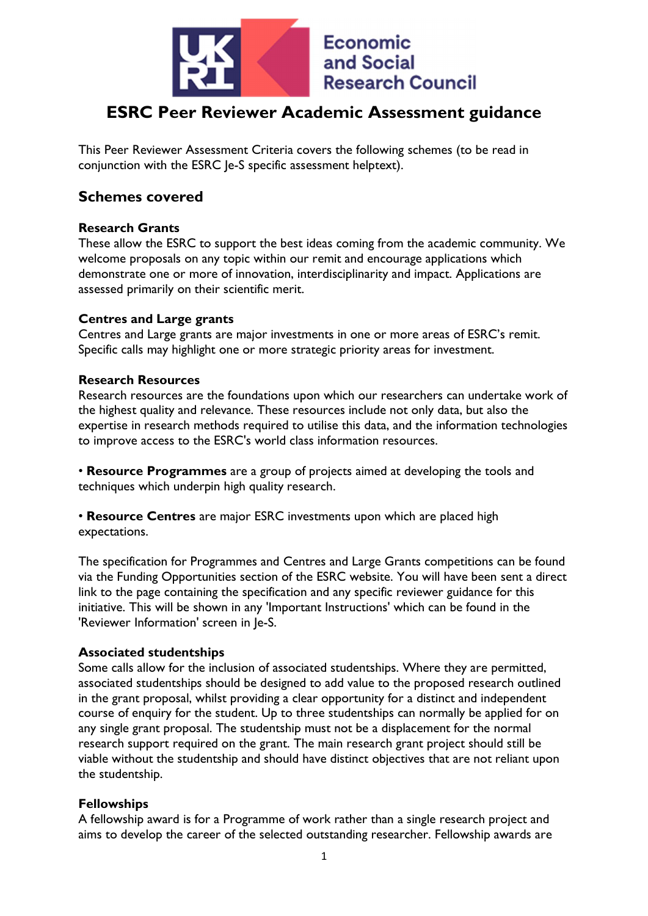

# ESRC Peer Reviewer Academic Assessment guidance

This Peer Reviewer Assessment Criteria covers the following schemes (to be read in conjunction with the ESRC Je-S specific assessment helptext).

# Schemes covered

#### Research Grants

These allow the ESRC to support the best ideas coming from the academic community. We welcome proposals on any topic within our remit and encourage applications which demonstrate one or more of innovation, interdisciplinarity and impact. Applications are assessed primarily on their scientific merit.

#### Centres and Large grants

Centres and Large grants are major investments in one or more areas of ESRC's remit. Specific calls may highlight one or more strategic priority areas for investment.

#### Research Resources

Research resources are the foundations upon which our researchers can undertake work of the highest quality and relevance. These resources include not only data, but also the expertise in research methods required to utilise this data, and the information technologies to improve access to the ESRC's world class information resources.

• Resource Programmes are a group of projects aimed at developing the tools and techniques which underpin high quality research.

• Resource Centres are major ESRC investments upon which are placed high expectations.

The specification for Programmes and Centres and Large Grants competitions can be found via the Funding Opportunities section of the ESRC website. You will have been sent a direct link to the page containing the specification and any specific reviewer guidance for this initiative. This will be shown in any 'Important Instructions' which can be found in the 'Reviewer Information' screen in Je-S.

#### Associated studentships

Some calls allow for the inclusion of associated studentships. Where they are permitted, associated studentships should be designed to add value to the proposed research outlined in the grant proposal, whilst providing a clear opportunity for a distinct and independent course of enquiry for the student. Up to three studentships can normally be applied for on any single grant proposal. The studentship must not be a displacement for the normal research support required on the grant. The main research grant project should still be viable without the studentship and should have distinct objectives that are not reliant upon the studentship.

# Fellowships

A fellowship award is for a Programme of work rather than a single research project and aims to develop the career of the selected outstanding researcher. Fellowship awards are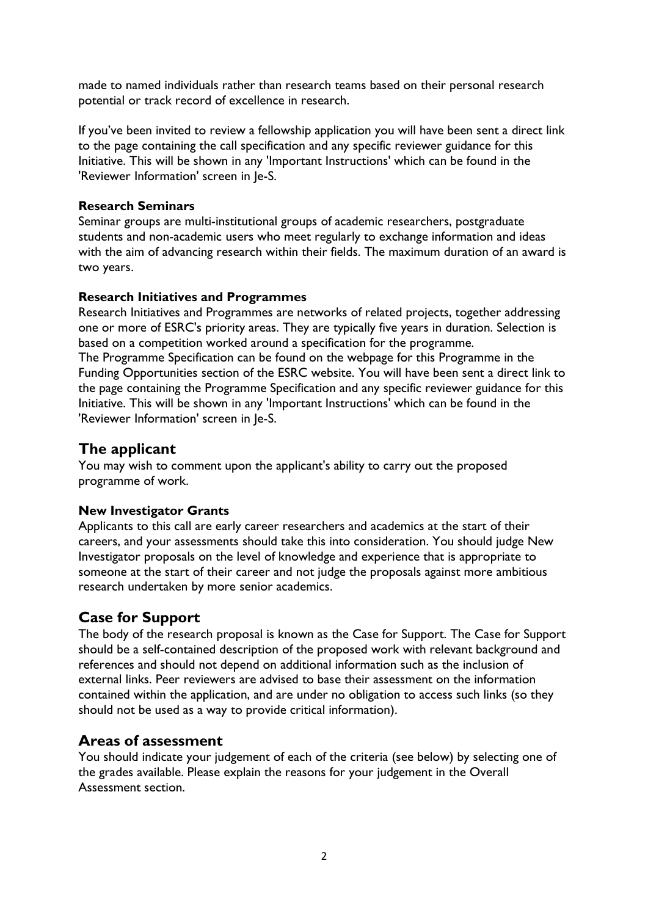made to named individuals rather than research teams based on their personal research potential or track record of excellence in research.

If you've been invited to review a fellowship application you will have been sent a direct link to the page containing the call specification and any specific reviewer guidance for this Initiative. This will be shown in any 'Important Instructions' which can be found in the 'Reviewer Information' screen in Je-S.

# Research Seminars

Seminar groups are multi-institutional groups of academic researchers, postgraduate students and non-academic users who meet regularly to exchange information and ideas with the aim of advancing research within their fields. The maximum duration of an award is two years.

#### Research Initiatives and Programmes

Research Initiatives and Programmes are networks of related projects, together addressing one or more of ESRC's priority areas. They are typically five years in duration. Selection is based on a competition worked around a specification for the programme. The Programme Specification can be found on the webpage for this Programme in the Funding Opportunities section of the ESRC website. You will have been sent a direct link to the page containing the Programme Specification and any specific reviewer guidance for this Initiative. This will be shown in any 'Important Instructions' which can be found in the 'Reviewer Information' screen in Je-S.

# The applicant

You may wish to comment upon the applicant's ability to carry out the proposed programme of work.

# New Investigator Grants

Applicants to this call are early career researchers and academics at the start of their careers, and your assessments should take this into consideration. You should judge New Investigator proposals on the level of knowledge and experience that is appropriate to someone at the start of their career and not judge the proposals against more ambitious research undertaken by more senior academics.

# Case for Support

The body of the research proposal is known as the Case for Support. The Case for Support should be a self-contained description of the proposed work with relevant background and references and should not depend on additional information such as the inclusion of external links. Peer reviewers are advised to base their assessment on the information contained within the application, and are under no obligation to access such links (so they should not be used as a way to provide critical information).

# Areas of assessment

You should indicate your judgement of each of the criteria (see below) by selecting one of the grades available. Please explain the reasons for your judgement in the Overall Assessment section.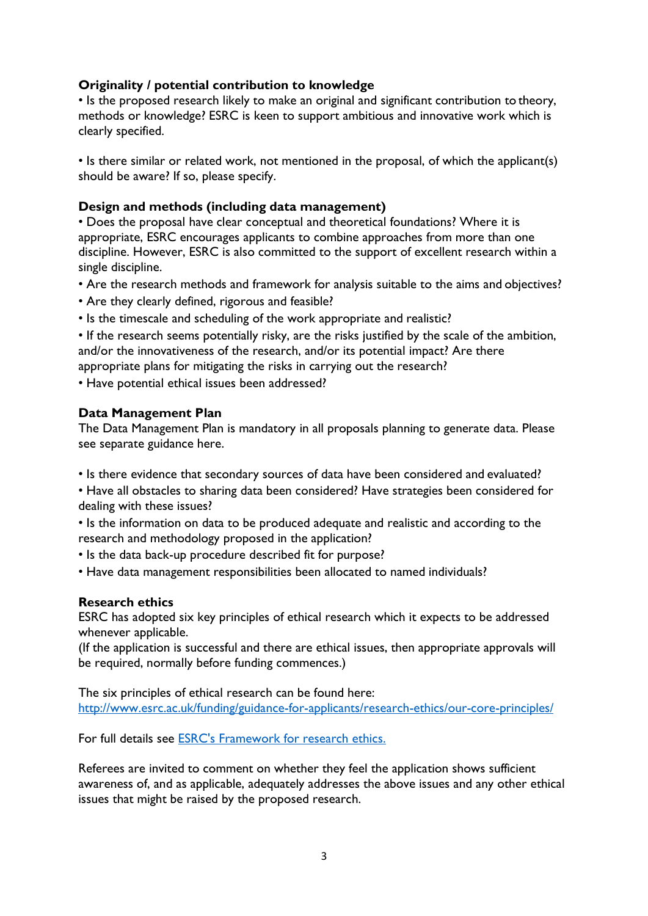# Originality / potential contribution to knowledge

• Is the proposed research likely to make an original and significant contribution to theory, methods or knowledge? ESRC is keen to support ambitious and innovative work which is clearly specified.

• Is there similar or related work, not mentioned in the proposal, of which the applicant(s) should be aware? If so, please specify.

#### Design and methods (including data management)

• Does the proposal have clear conceptual and theoretical foundations? Where it is appropriate, ESRC encourages applicants to combine approaches from more than one discipline. However, ESRC is also committed to the support of excellent research within a single discipline.

- Are the research methods and framework for analysis suitable to the aims and objectives?
- Are they clearly defined, rigorous and feasible?
- Is the timescale and scheduling of the work appropriate and realistic?

• If the research seems potentially risky, are the risks justified by the scale of the ambition, and/or the innovativeness of the research, and/or its potential impact? Are there appropriate plans for mitigating the risks in carrying out the research?

• Have potential ethical issues been addressed?

#### Data Management Plan

The Data Management Plan is mandatory in all proposals planning to generate data. Please see separate guidance here.

- Is there evidence that secondary sources of data have been considered and evaluated?
- Have all obstacles to sharing data been considered? Have strategies been considered for dealing with these issues?
- Is the information on data to be produced adequate and realistic and according to the research and methodology proposed in the application?
- Is the data back-up procedure described fit for purpose?
- Have data management responsibilities been allocated to named individuals?

# Research ethics

ESRC has adopted six key principles of ethical research which it expects to be addressed whenever applicable.

(If the application is successful and there are ethical issues, then appropriate approvals will be required, normally before funding commences.)

The six principles of ethical research can be found here: http://www.esrc.ac.uk/funding/guidance-for-applicants/research-ethics/our-core-principles/

For full details see ESRC's Framework for research ethics.

Referees are invited to comment on whether they feel the application shows sufficient awareness of, and as applicable, adequately addresses the above issues and any other ethical issues that might be raised by the proposed research.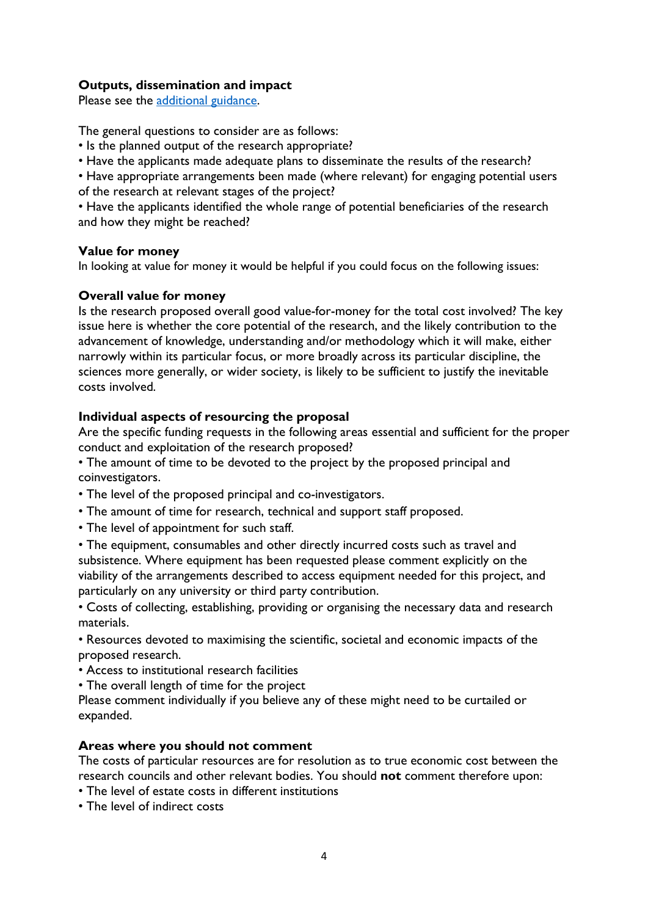# Outputs, dissemination and impact

Please see the additional guidance.

The general questions to consider are as follows:

- Is the planned output of the research appropriate?
- Have the applicants made adequate plans to disseminate the results of the research?

• Have appropriate arrangements been made (where relevant) for engaging potential users of the research at relevant stages of the project?

• Have the applicants identified the whole range of potential beneficiaries of the research and how they might be reached?

#### Value for money

In looking at value for money it would be helpful if you could focus on the following issues:

# Overall value for money

Is the research proposed overall good value-for-money for the total cost involved? The key issue here is whether the core potential of the research, and the likely contribution to the advancement of knowledge, understanding and/or methodology which it will make, either narrowly within its particular focus, or more broadly across its particular discipline, the sciences more generally, or wider society, is likely to be sufficient to justify the inevitable costs involved.

# Individual aspects of resourcing the proposal

Are the specific funding requests in the following areas essential and sufficient for the proper conduct and exploitation of the research proposed?

• The amount of time to be devoted to the project by the proposed principal and coinvestigators.

- The level of the proposed principal and co-investigators.
- The amount of time for research, technical and support staff proposed.
- The level of appointment for such staff.

• The equipment, consumables and other directly incurred costs such as travel and subsistence. Where equipment has been requested please comment explicitly on the viability of the arrangements described to access equipment needed for this project, and particularly on any university or third party contribution.

• Costs of collecting, establishing, providing or organising the necessary data and research materials.

• Resources devoted to maximising the scientific, societal and economic impacts of the proposed research.

• Access to institutional research facilities

• The overall length of time for the project

Please comment individually if you believe any of these might need to be curtailed or expanded.

# Areas where you should not comment

The costs of particular resources are for resolution as to true economic cost between the research councils and other relevant bodies. You should not comment therefore upon:

- The level of estate costs in different institutions
- The level of indirect costs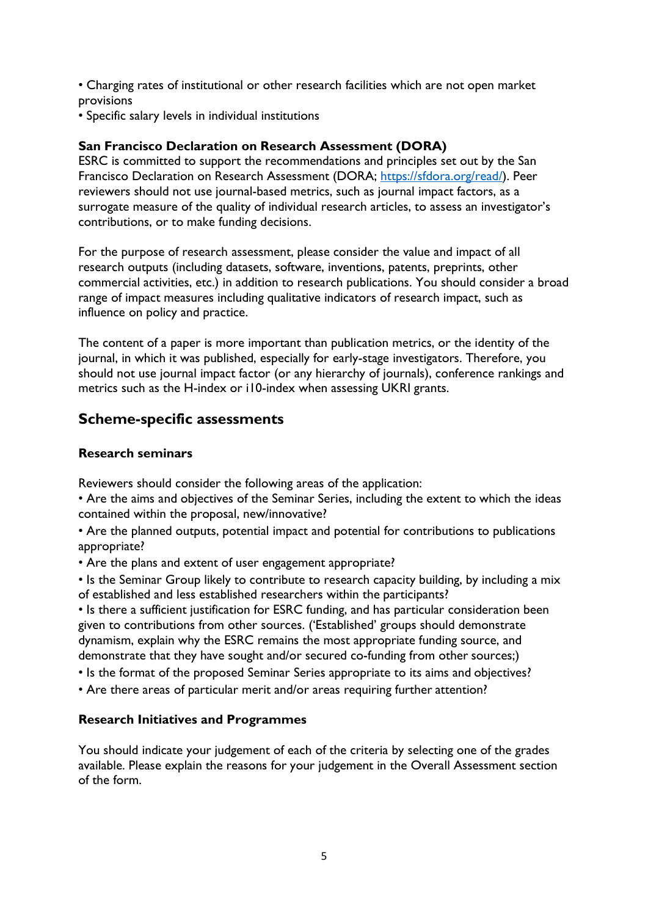• Charging rates of institutional or other research facilities which are not open market provisions

• Specific salary levels in individual institutions

# San Francisco Declaration on Research Assessment (DORA)

ESRC is committed to support the recommendations and principles set out by the San Francisco Declaration on Research Assessment (DORA; https://sfdora.org/read/). Peer reviewers should not use journal-based metrics, such as journal impact factors, as a surrogate measure of the quality of individual research articles, to assess an investigator's contributions, or to make funding decisions.

For the purpose of research assessment, please consider the value and impact of all research outputs (including datasets, software, inventions, patents, preprints, other commercial activities, etc.) in addition to research publications. You should consider a broad range of impact measures including qualitative indicators of research impact, such as influence on policy and practice.

The content of a paper is more important than publication metrics, or the identity of the journal, in which it was published, especially for early-stage investigators. Therefore, you should not use journal impact factor (or any hierarchy of journals), conference rankings and metrics such as the H-index or i10-index when assessing UKRI grants.

# Scheme-specific assessments

# Research seminars

Reviewers should consider the following areas of the application:

• Are the aims and objectives of the Seminar Series, including the extent to which the ideas contained within the proposal, new/innovative?

• Are the planned outputs, potential impact and potential for contributions to publications appropriate?

• Are the plans and extent of user engagement appropriate?

• Is the Seminar Group likely to contribute to research capacity building, by including a mix of established and less established researchers within the participants?

• Is there a sufficient justification for ESRC funding, and has particular consideration been given to contributions from other sources. ('Established' groups should demonstrate dynamism, explain why the ESRC remains the most appropriate funding source, and demonstrate that they have sought and/or secured co-funding from other sources;)

• Is the format of the proposed Seminar Series appropriate to its aims and objectives?

• Are there areas of particular merit and/or areas requiring further attention?

# Research Initiatives and Programmes

You should indicate your judgement of each of the criteria by selecting one of the grades available. Please explain the reasons for your judgement in the Overall Assessment section of the form.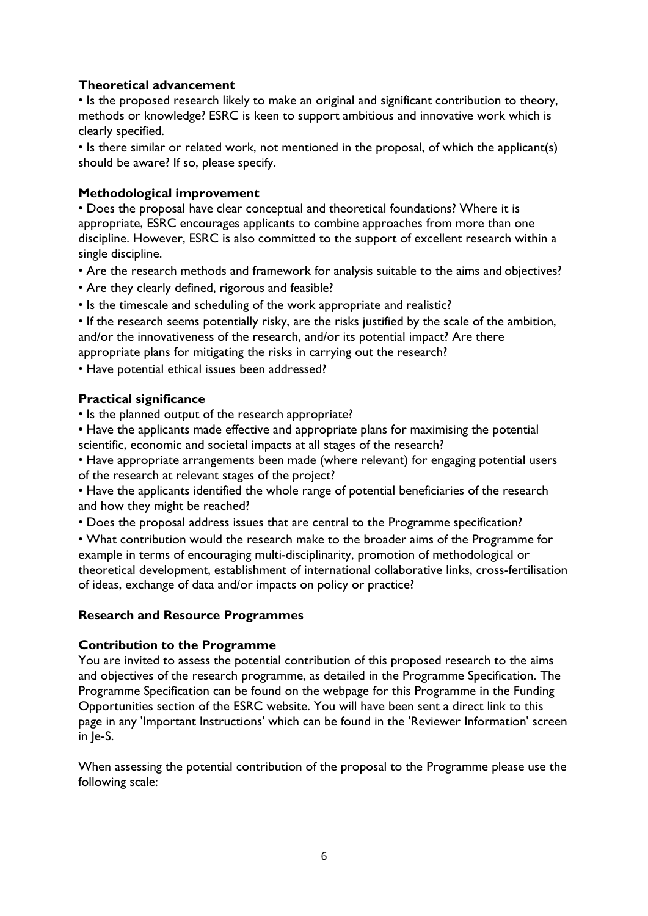# Theoretical advancement

• Is the proposed research likely to make an original and significant contribution to theory, methods or knowledge? ESRC is keen to support ambitious and innovative work which is clearly specified.

• Is there similar or related work, not mentioned in the proposal, of which the applicant(s) should be aware? If so, please specify.

#### Methodological improvement

• Does the proposal have clear conceptual and theoretical foundations? Where it is appropriate, ESRC encourages applicants to combine approaches from more than one discipline. However, ESRC is also committed to the support of excellent research within a single discipline.

- Are the research methods and framework for analysis suitable to the aims and objectives?
- Are they clearly defined, rigorous and feasible?
- Is the timescale and scheduling of the work appropriate and realistic?

• If the research seems potentially risky, are the risks justified by the scale of the ambition, and/or the innovativeness of the research, and/or its potential impact? Are there appropriate plans for mitigating the risks in carrying out the research?

• Have potential ethical issues been addressed?

#### Practical significance

• Is the planned output of the research appropriate?

• Have the applicants made effective and appropriate plans for maximising the potential scientific, economic and societal impacts at all stages of the research?

• Have appropriate arrangements been made (where relevant) for engaging potential users of the research at relevant stages of the project?

• Have the applicants identified the whole range of potential beneficiaries of the research and how they might be reached?

• Does the proposal address issues that are central to the Programme specification?

• What contribution would the research make to the broader aims of the Programme for example in terms of encouraging multi-disciplinarity, promotion of methodological or theoretical development, establishment of international collaborative links, cross-fertilisation of ideas, exchange of data and/or impacts on policy or practice?

#### Research and Resource Programmes

#### Contribution to the Programme

You are invited to assess the potential contribution of this proposed research to the aims and objectives of the research programme, as detailed in the Programme Specification. The Programme Specification can be found on the webpage for this Programme in the Funding Opportunities section of the ESRC website. You will have been sent a direct link to this page in any 'Important Instructions' which can be found in the 'Reviewer Information' screen in Je-S.

When assessing the potential contribution of the proposal to the Programme please use the following scale: